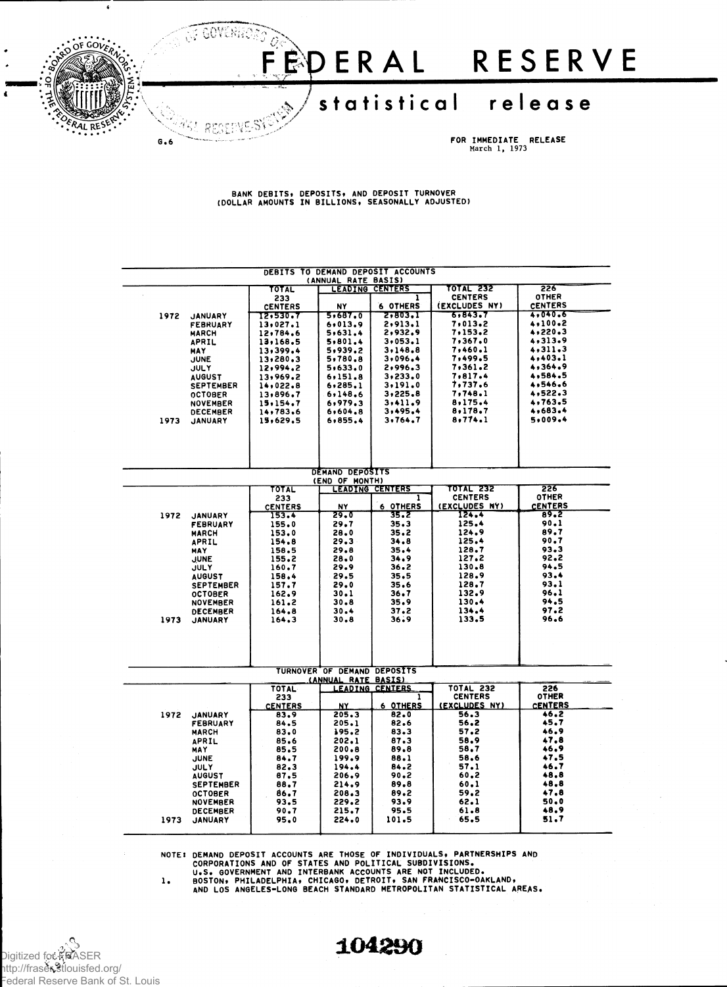

**BANK DEBITS, DEPOSITS, AND DEPOSIT TURNOVER (DOLLAR AMOUNTS IN BILLIONS, SEASONALLY ADJUSTED)**

|                                                            | DEBITS TO DEMAND DEPOSIT ACCOUNTS  |                      |                             |                        |                       |                        |  |  |  |  |
|------------------------------------------------------------|------------------------------------|----------------------|-----------------------------|------------------------|-----------------------|------------------------|--|--|--|--|
| (ANNUAL RATE BASIS)                                        |                                    |                      |                             |                        |                       |                        |  |  |  |  |
| <b>TOTAL 232</b><br>226<br>TOTAL<br><b>LEADING CENTERS</b> |                                    |                      |                             |                        |                       |                        |  |  |  |  |
|                                                            |                                    | 233                  |                             | ı                      | <b>CENTERS</b>        | <b>OTHER</b>           |  |  |  |  |
|                                                            |                                    | <b>CENTERS</b>       | N٢                          | <b>6 OTHERS</b>        | (EXCLUDES NY)         | <b>CENTERS</b>         |  |  |  |  |
| 1972                                                       | <b>JANUARY</b>                     | 12,530.7             | 5,687.0                     | 2,803.1                | 6,843.7               | 4,040.6                |  |  |  |  |
|                                                            | FEBRUARY                           | 13,027.1             | 6,013.9                     | 2,913.1                | 7,013.2               | 4,100.2                |  |  |  |  |
|                                                            | <b>MARCH</b>                       | 12,784.6             | 5,631.4                     | 2,932.9                | 7,153.2               | 4,220.3                |  |  |  |  |
|                                                            | APRIL                              | 13,168.5             | 5,801.4                     | 3,053.1                | 7,367.0               | 4,313.9                |  |  |  |  |
|                                                            | MAY                                | 13,399.4             | 5,939.2                     | 3,148.8                | 7,460.1               | 4,311,3                |  |  |  |  |
|                                                            | <b>JUNE</b>                        | 13,280.3             | 5,780.8                     | 3,096.4                | 7,499.5               | 4,403.1                |  |  |  |  |
|                                                            | JULY                               | 12,994.2             | 5,633.0                     | 2,996.3                | 7,361.2               | 4,364.9<br>4,584.5     |  |  |  |  |
|                                                            | <b>AUGUST</b>                      | 13,969.2             | 6,151.8                     | 3,233.0                | 7,817.4<br>7,737.6    | 4,546,6                |  |  |  |  |
|                                                            | <b>SEPTEMBER</b>                   | 14,022.8             | 6, 285, 1<br>6,148.6        | 3,191.0<br>3,225.8     | 7,748.1               | 4,522.3                |  |  |  |  |
|                                                            | <b>OCTOBER</b>                     | 13,896.7<br>15,154.7 | 6,979.3                     | 3,411.9                | 8,175.4               | 4,763.5                |  |  |  |  |
|                                                            | <b>NOVEMBER</b><br><b>DECEMBER</b> | 14,783.6             | 6,604.8                     | 3,495.4                | 8,178.7               | 4,683.4                |  |  |  |  |
| 1973                                                       | <b>JANUARY</b>                     | 15,629.5             | 6,855.4                     | 3,764.7                | 8,774.1               | 5,009.4                |  |  |  |  |
|                                                            |                                    |                      |                             |                        |                       |                        |  |  |  |  |
|                                                            |                                    |                      |                             |                        |                       |                        |  |  |  |  |
|                                                            |                                    |                      |                             |                        |                       |                        |  |  |  |  |
|                                                            |                                    |                      |                             |                        |                       |                        |  |  |  |  |
|                                                            |                                    |                      |                             |                        |                       |                        |  |  |  |  |
|                                                            |                                    |                      | DEMAND DEPOSITS             |                        |                       |                        |  |  |  |  |
|                                                            |                                    |                      | (END OF MONTH)              |                        |                       |                        |  |  |  |  |
|                                                            |                                    | TOTAL                |                             | <b>LEADING CENTERS</b> | TOTAL 232             | 226                    |  |  |  |  |
|                                                            |                                    | 233                  |                             | ı                      | <b>CENTERS</b>        | <b>OTHER</b>           |  |  |  |  |
|                                                            |                                    | <b>CENTERS</b>       | NY                          | 6 OTHERS               | (EXCLUDES NY)         | <b>CENTERS</b>         |  |  |  |  |
| 1972                                                       | <b>JANUARY</b>                     | 153.4                | 29.0                        | 35.2                   | 124.4                 | 89.2                   |  |  |  |  |
|                                                            | <b>FEBRUARY</b>                    | 155.0                | 29.7                        | 35.3                   | 125.4                 | 90.1<br>89.7           |  |  |  |  |
|                                                            | <b>MARCH</b>                       | 153.0                | 28.0                        | 35.2                   | 124.9<br>125.4        | 90.7                   |  |  |  |  |
|                                                            | APRIL                              | 154.8<br>158.5       | 29.3<br>29.8                | 34.8<br>35.4           | 128.7                 | 93.3                   |  |  |  |  |
|                                                            | <b>MAY</b>                         | 155.2                | 28.0                        | 34.9                   | 127.2                 | 92.2                   |  |  |  |  |
|                                                            | <b>JUNE</b><br><b>JULY</b>         | 160.7                | 29.9                        | 36.2                   | 130.8                 | 94.5                   |  |  |  |  |
|                                                            | <b>AUGUST</b>                      | 158.4                | 29.5                        | 35.5                   | 128.9                 | 93.4                   |  |  |  |  |
|                                                            | <b>SEPTEMBER</b>                   | 157.7                | 29.0                        | 35.6                   | 128.7                 | 93.1                   |  |  |  |  |
|                                                            | <b>OCTOBER</b>                     | 162.9                | 30.1                        | 36.7                   | 132.9                 | 96.1                   |  |  |  |  |
|                                                            | <b>NOVEMBER</b>                    | 161.2                | 30.8                        | 35.9                   | 130.4                 | 94.5                   |  |  |  |  |
|                                                            | <b>DECEMBER</b>                    | 164.8                | 30.4                        | 37.2                   | 134.4                 | 97.2                   |  |  |  |  |
| 1973                                                       | <b>JANUARY</b>                     | 164.3                | 30.8                        | 36.9                   | 133.5                 | 96.6                   |  |  |  |  |
|                                                            |                                    |                      |                             |                        |                       |                        |  |  |  |  |
|                                                            |                                    |                      |                             |                        |                       |                        |  |  |  |  |
|                                                            |                                    |                      |                             |                        |                       |                        |  |  |  |  |
|                                                            |                                    |                      |                             |                        |                       |                        |  |  |  |  |
|                                                            |                                    |                      |                             |                        |                       |                        |  |  |  |  |
|                                                            |                                    |                      | TURNOVER OF DEMAND DEPOSITS |                        |                       |                        |  |  |  |  |
|                                                            |                                    |                      | (ANNUAL RATE BASIS)         |                        |                       |                        |  |  |  |  |
|                                                            |                                    | <b>TOTAL</b>         |                             | LEADING CENTERS        | <b>TOTAL 232</b>      | 226                    |  |  |  |  |
|                                                            |                                    | 233                  |                             | 1                      | <b>CENTERS</b>        | <b>OTHER</b>           |  |  |  |  |
|                                                            |                                    | <b>CENTERS</b>       | NY.<br>205.3                | 6 OTHERS<br>82.0       | (EXCLUDES NY)<br>56.3 | <b>CENTERS</b><br>46.2 |  |  |  |  |
| 1972                                                       | <b>JANUARY</b>                     | 83.9                 |                             | 82.6                   | 56.2                  | 45.7                   |  |  |  |  |
|                                                            | <b>FEBRUARY</b>                    | 84.5<br>83.0         | 205.1<br>195.2              | 83.3                   | 57.2                  | 46.9                   |  |  |  |  |
|                                                            | <b>MARCH</b>                       |                      | 202.1                       | 87.3                   | 58.9                  | 47.8                   |  |  |  |  |
|                                                            | APRIL<br><b>MAY</b>                | 85.6<br>85.5         | 200.8                       | 89.8                   | 58.7                  | 46.9                   |  |  |  |  |
|                                                            | JUNE                               | 84.7                 | 199.9                       | 88.1                   | 58.6                  | 47.5                   |  |  |  |  |
|                                                            | <b>JULY</b>                        | 82.3                 | 194.4                       | 84.2                   | 57.1                  | 46.7                   |  |  |  |  |
|                                                            | <b>AUGUST</b>                      | 87.5                 | 206.9                       | 90.2                   | 60,2                  | 48.8                   |  |  |  |  |
|                                                            | <b>SEPTEMBER</b>                   | 88.7                 | 214.9                       | 89.8                   | 60.1                  | 48.8                   |  |  |  |  |
|                                                            | <b>OCTOBER</b>                     | 86.7                 | 208.3                       | 89.2                   | 59.2                  | 47.8                   |  |  |  |  |
|                                                            | <b>NOVEMBER</b>                    | 93.5                 | 229.2                       | 93.9                   | 62.1                  | 50.0                   |  |  |  |  |
|                                                            | <b>DECEMBER</b>                    | 90.7                 | 215.7                       | 95.5                   | 61.8                  | 48.9                   |  |  |  |  |
| 1973                                                       | <b>JANUARY</b>                     | 95.0                 | 224.0                       | 101.5                  | 65.5                  | 51.7                   |  |  |  |  |
|                                                            |                                    |                      |                             |                        |                       |                        |  |  |  |  |

NOTE: DEMAND DEPOSIT ACCOUNTS ARE THOSE OF INDIVIDUALS, PARTNERSHIPS AND<br>CORPORATIONS AND OF STATES AND POLITICAL SUBDIVISIONS.<br>U.S. GOVERNMENT AND INTERBANK ACCOUNTS ARE NOT INCLUDED.<br>BOSTON, PHILADELPHIA, CHICAGO, DETROI

Digitized for FRASER http://fraser.stlouisfed.org/ Federal Reserve Bank of St. Louis

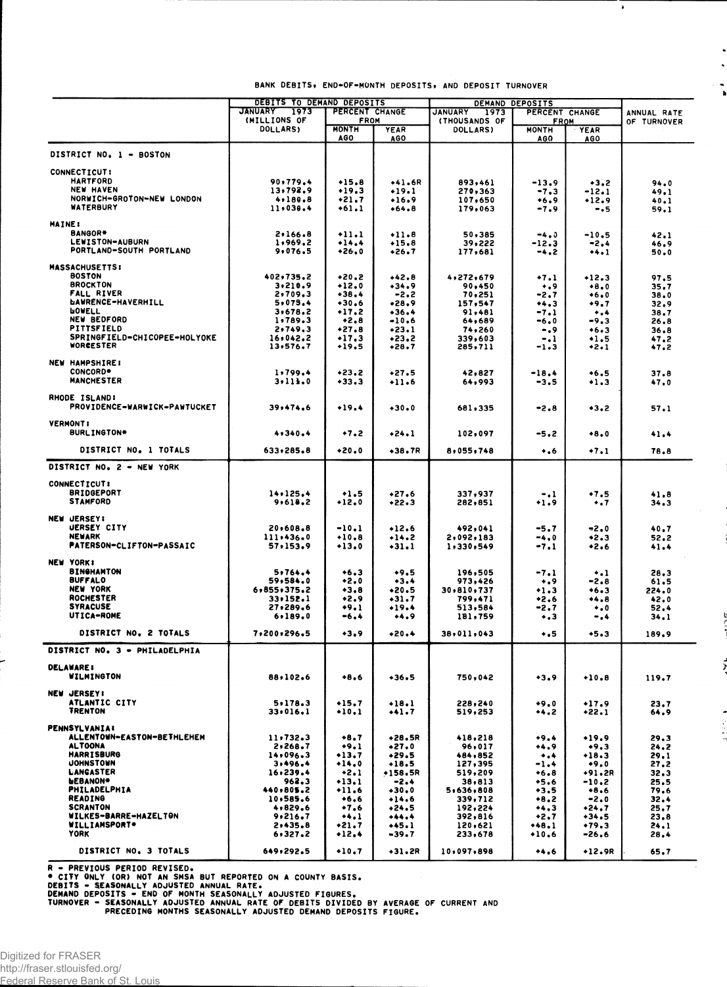|                                        | DEBITS TO DEMAND DEPOSITS |                             |                    | DEMAND DEPOSITS    |                             |                     |              |
|----------------------------------------|---------------------------|-----------------------------|--------------------|--------------------|-----------------------------|---------------------|--------------|
|                                        | <b>JANUARY</b><br>1973    | PERCENT CHANGE              |                    | JANUARY<br>1973    | PERCENT CHANGE              |                     | ANNUAL RATE  |
|                                        | (MILLIONS OF<br>DOLLARS)  | <b>FROM</b><br><b>MONTH</b> | YEAR               | (THOUSANDS OF      | <b>FROM</b><br><b>MONTH</b> |                     | OF TURNOVER  |
|                                        |                           | AGO                         | AGO                | <b>DOLLARS)</b>    | AGO                         | <b>YEAR</b><br>AGO  |              |
| DISTRICT NO. 1 - BOSTON                |                           |                             |                    |                    |                             |                     |              |
|                                        |                           |                             |                    |                    |                             |                     |              |
| <b>CONNECTICUT:</b><br><b>HARTFORD</b> | 90.779.4                  |                             |                    |                    |                             |                     |              |
| <b>NEW HAVEN</b>                       | 13,792.9                  | $+15.8$<br>$+19.3$          | +41.6R<br>$+19.1$  | 893,461<br>270,363 | $-13.9$<br>$-7.3$           | $+3.2$<br>$-12.1$   | 94.0<br>49,1 |
| NORWICH-GROTON-NEW LONDON              | 4,180.8                   | +21.7                       | $+16.9$            | 107,650            | +6.9                        | $+12.9$             | 40.1         |
| <b>WATERBURY</b>                       | 11.030.4                  | $+61.1$                     | +64.8              | 179,063            | -7.9                        | - 5                 | 59.1         |
| <b>MAINE:</b>                          |                           |                             |                    |                    |                             |                     |              |
| BANGOR*                                | 2,166.8                   | $+11.1$                     | $+11.8$            | 50,385             | $-4.3$                      | $-10.5$             | 42.1         |
| LEWISTON-AUBURN                        | 1,969.2                   | $+14.4$                     | $+15.8$            | 39,222             | $-12.3$                     | -2.4                | 46.9         |
| PORTLAND-SOUTH PORTLAND                | 9,076.5                   | $+26.0$                     | +26.7              | 177,681            | -4.2                        | $+4.1$              | 50.0         |
| <b>MASSACHUSETTS:</b>                  |                           |                             |                    |                    |                             |                     |              |
| <b>BOSTON</b>                          | 402,735.2                 | $*20.2$                     | $+42.8$            | 4,272,679          | +7.1                        | $+12.3$             | 97.5         |
| <b>BROCKTON</b>                        | 3,210.9                   | $+12.0$                     | $+34.9$            | 90,450             | ۰.,                         | $+8.0$              | 35.7         |
| <b>FALL RIVER</b>                      | 2,709.3                   | $+38.4$                     | -2.2               | 70,251             | $-2.7$                      | $+6.0$              | 38.0         |
| <b><i>DAWRENCE-HAVERHILL</i></b>       | 5,075.4                   | $*30.6$                     | •28.9              | 157,547            | $+4.3$                      | +9.7                | 32,9         |
| <b>POAELL</b><br><b>NEW BEDFORD</b>    | 3,678.2<br>1,789.3        | $+17.2$<br>$+2.8$           | $+36.4$<br>$-10.6$ | 91,481<br>64,689   | $-7.1$                      | $\ddotsc$<br>$-9.3$ | 38.7         |
| PITTSFIELD                             | 2,749.3                   | $+27.8$                     | $+23.1$            | 74,260             | -6.0<br>-.9                 | • 6 • 3             | 26.8<br>36.8 |
| SPRINGFIELD-CHICOPEE-HOLYOKE           | 16,042.2                  | $-17.3$                     | +23.2              | 339,603            | -.1                         | ۰1.5                | 47.2         |
| WORGESTER                              | 13,576.7                  | $+19.5$                     | •28.7              | 285,711            | -1.3                        | •2•1                | 47.2         |
|                                        |                           |                             |                    |                    |                             |                     |              |
| <b>NEW HAMPSHIRE:</b><br>CONCORD*      | 1.799.4                   | $+23.2$                     | $+27.5$            | 42,827             | $-18.4$                     | $+6.5$              |              |
| <b>MANCHESTER</b>                      | 3.111.0                   | $+33.3$                     | $+11.6$            | 64,993             | $-3.5$                      | $+1.3$              | 37.8<br>47.0 |
|                                        |                           |                             |                    |                    |                             |                     |              |
| RHODE ISLAND:                          |                           |                             |                    |                    |                             |                     |              |
| PROVIDENCE-WARWICK-PAWTUCKET           | 39,474.6                  | $+19.4$                     | $+30.0$            | 681,335            | -2.8                        | $+3.2$              | 57.1         |
| <b>VERMONT:</b>                        |                           |                             |                    |                    |                             |                     |              |
| BURLINGTON*                            | 4,340.4                   | $+7.2$                      | +24.1              | 102,097            | -5.2                        | $+8.0$              | 41.4         |
| DISTRICT NO. 1 TOTALS                  | 633,285.8                 | $+20.0$                     | $+38.7R$           | 8,055,748          | ۰.۰                         | $+7.1$              | 78.8         |
| DISTRICT NO. 2 - NEW YORK              |                           |                             |                    |                    |                             |                     |              |
|                                        |                           |                             |                    |                    |                             |                     |              |
| <b>CONNECTICUT:</b>                    |                           |                             |                    |                    |                             |                     |              |
| <b>BRIDGEPORT</b>                      | 14,125.4                  | $+1.5$                      | $+27.6$            | 337,937            | -.1                         | •7.5                | 41.8         |
| <b>STAMFORD</b>                        | 9.618.2                   | $+12.0$                     | $+22.3$            | 282,851            | +1.9                        | $\ddotsc$           | 34.3         |
| <b>NEW JERSEY!</b>                     |                           |                             |                    |                    |                             |                     |              |
| <b>UERSEY CITY</b>                     | 20,608.8                  | $-10.1$                     | $+12.6$            | 492,041            | $-5.7$                      | -2.0                | 40.7         |
| <b>NEWARK</b>                          | 111.436.0                 | $+10,8$                     | $+14.2$            | 2,092,183          | $-4.0$                      | •2.3                | 52.2         |
| PATERSON-CLIFTON-PASSAIC               | 57,153.9                  | +13.0                       | $+31.1$            | 1,330,549          | -7.1                        | •2.6                | 41.4         |
| NEW YORK!                              |                           |                             |                    |                    |                             |                     |              |
| <b>BINGHAMTON</b>                      | 5,764.4                   | $+6.3$                      | $+9.5$             | 196,505            | -7.1                        | $\ddotsc$           | 28.3         |
| <b>BUFFALO</b>                         | 59,584.0                  | $+2.0$                      | $+3.4$             | 973,426            | $\ddotsc$                   | -2.8                | 61.5         |
| <b>NEW YORK</b>                        | 6,855,375.2               | $+3.8$                      | $*20.5$            | 30,810,737         | $+1.3$                      | $+6.3$              | 224.0        |
| <b>ROCHESTER</b>                       | 33.152.1                  | $+2.9$                      | •31•7              | 799,471            | $+2.6$                      | 8                   | 42.0         |
| <b>SYRACUSE</b>                        | 27,289.6                  | $+9.1$                      | $+19.4$            | 513,584            | -2.7                        | $\bullet$ , 0       | 52.4         |
| UTICA-ROME                             | 6,189.0                   | -6.4                        | +4.9               | 181,759            | ۰.3                         | -                   | 34.1         |
| DISTRICT NO. 2 TOTALS                  | 7,200,296.5               | $+3.9$                      | $+20.4$            | 38,011,043         | $\ddotsc$                   | $+5.3$              | 189.9        |
| DISTRICT NO. 3 - PHILADELPHIA          |                           |                             |                    |                    |                             |                     |              |
| <b>DELAWARE:</b>                       |                           |                             |                    |                    |                             |                     |              |
| <b>WILMINGTON</b>                      | 88,102.6                  | $+8.6$                      | $+36.5$            | 750,042            | $+3.9$                      | $+10.8$             | 119.7        |
|                                        |                           |                             |                    |                    |                             |                     |              |
| <b>NEW JERSEY!</b>                     |                           |                             |                    |                    |                             |                     |              |
| ATLANTIC CITY<br><b>TRENTON</b>        | 5.178.3                   | $+15.7$                     | $+18.1$            | 228,240            | $+9.0$                      | $+17.9$             | 23.7         |
|                                        | 33.016.1                  | $+10.1$                     | $+1.7$             | 519,253            | $+4.2$                      | +22.1               | 64,9         |
| <b>PENNSYLVANIA:</b>                   |                           |                             |                    |                    |                             |                     |              |
| ALLENTOWN-EASTON-BETHLEHEM             | 11,732.3                  | $+8.7$                      | +28.5R             | 418,218            | $+9.4$                      | $+19.9$             | 29.3         |
| AL TOONA                               | 2,268.7                   | $+9.1$                      | $+27.0$            | 96,017             | $+4.9$                      | $+9.3$              | 24.2         |
| <b>HARRISBURG</b><br><b>JOHNSTOWN</b>  | 14,096.3<br>3,496.4       | $+13.7$<br>$+14.0$          | $+29.5$<br>$+18.5$ | 484,852            |                             | $+18.3$             | 29.1         |
| LANGASTER                              | 16,239.4                  | $+2.1$                      | +158.5R            | 127,395<br>519,209 | $-1.4$<br>$+6.8$            | $+9.0$<br>+91.2R    | 27.2<br>32.3 |
| <b>WEBANON*</b>                        | 962.3                     | $+13.1$                     | -2.4               | 38,813             | $+5.6$                      | $-10.2$             | 25.5         |
| PHILADELPHIA                           | 440,805.2                 | $+11.6$                     | $+30.0$            | 5,636,808          | $+3.5$                      | $+8.6$              | 79.6         |
| <b>READING</b>                         | 10,585.6                  | $+6.6$                      | $+14.6$            | 339,712            | $+8.2$                      | $-2.0$              | 32.4         |
| <b>SCRANTON</b>                        | 4,829.6                   | $+7.6$                      | $+24.5$            | 192,224            | $+4.3$                      | $+24.7$             | 25.7         |
| WILKES-BARRE-HAZELTON                  | 9,216.7                   | $+4.1$                      | $+44.4$            | 392,816            | $+2.7$                      | $+34.5$             | 23.8         |
| <b>WILLIAMSPORT*</b>                   | 2,435.8                   | $+21.7$                     | $+45.1$            | 120,621            | $+48.1$                     | $+79.3$             | 24.1         |
| <b>YORK</b>                            | 6,327.2                   | $+12,4$                     | $-39.7$            | 233,678            | $+10.6$                     | -26.6               | 28.4         |
| DISTRICT NO. 3 TOTALS                  | 649,292.5                 | $+10.7$                     | $+31.2R$           | 10,097,898         | $+4.6$                      | $+12.9R$            | 65,7         |

## **BANK DEBITS, END-OF-MONTH DEPOSITS, AND DEPOSIT TURNOVER**

 $\overline{\phantom{a}}$ 

 $\ddot{\phantom{0}}$  $\ddot{\phantom{0}}$  $\ddot{\phantom{a}}$ 

 $\ddot{\phantom{a}}$ 

Ĵ,

 $-2.5 - 2.5$ 

R – PREVIOUS PERIOD REVISED.<br>• CITY GNLY (OR) NOT AN SMSA BUT REPORTED ON A COUNTY BASIS.<br>DEBITS – SEASONALLY ADJUSTED ANNUAL RATE.<br>DEMAND DEPOSITS – END OF MONTH SEASONALLY ADJUSTED FIGURES.<br>TURNOVER – SEASONALLY ADJUSTED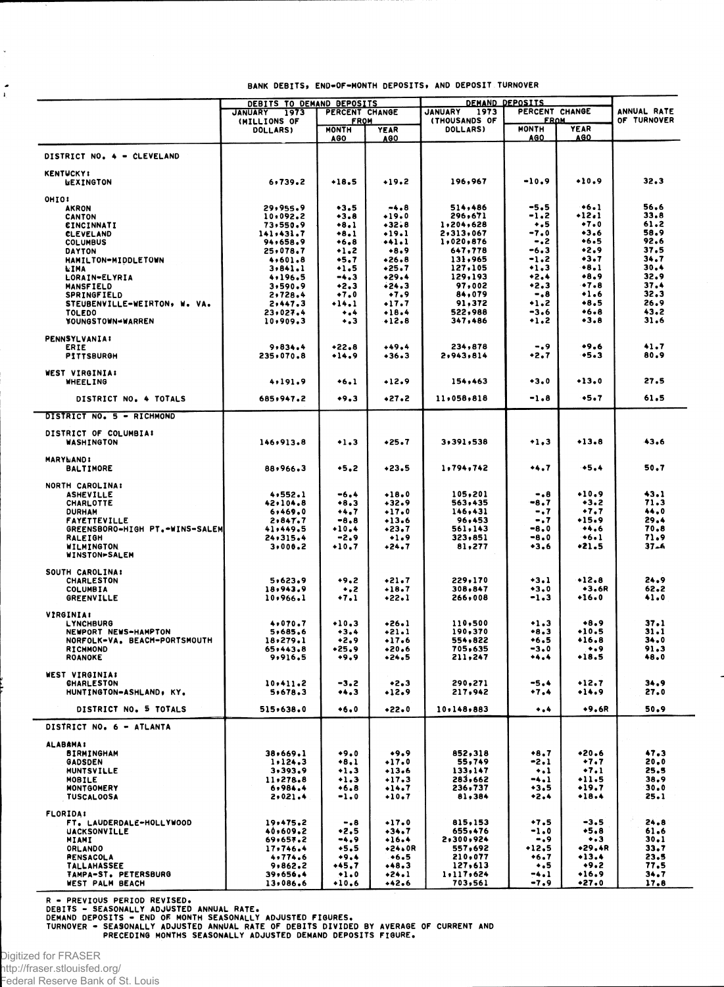|                                                    | DEBITS TO DEMAND DEPOSITS<br>PERCENT CHANGE<br>JANUARY<br>1973 |                                    |                    | <b>DEMAND DEPOSITS</b><br><b>JANUARY</b><br>PERCENT CHANGE<br>1973 |                                           |                           | ANNUAL RATE      |
|----------------------------------------------------|----------------------------------------------------------------|------------------------------------|--------------------|--------------------------------------------------------------------|-------------------------------------------|---------------------------|------------------|
|                                                    | (MILLIONS OF<br><b>DOLLARS)</b>                                | <b>FROM</b><br><b>MONTH</b><br>AGO | <b>YEAR</b>        | (THOUSANDS OF<br><b>DOLLARS</b>                                    | <u>FROM</u><br><b>MONTH</b><br><b>AGO</b> | <b>YEAR</b><br><b>AGO</b> | OF TURNOVER      |
| DISTRICT NO. 4 - CLEVELAND                         |                                                                |                                    | <b>AGO</b>         |                                                                    |                                           |                           |                  |
| <b>KENTUCKY:</b>                                   |                                                                |                                    |                    |                                                                    |                                           |                           |                  |
| <b>UEXINGTON</b>                                   | 6,739.2                                                        | $+18.5$                            | $+19.2$            | 196,967                                                            | $-10.9$                                   | $+10.9$                   | 32.3             |
| OHIO:                                              |                                                                |                                    |                    |                                                                    |                                           |                           |                  |
| <b>AKRON</b><br><b>CANTON</b>                      | 29,955.9<br>10,092.2                                           | $+3.5$<br>$+3.8$                   | -4.8<br>$+19.0$    | 514,486<br>296,671                                                 | -5.5<br>-1.2                              | $+6.1$<br>$+12.1$         | 56.6<br>33.8     |
| <b>EINCINNATI</b>                                  | 73,550.9                                                       | $+8.1$                             | $+32.8$            | 1,204,628                                                          | $+ 5$                                     | $+7.0$                    | 61.2             |
| <b>CLEVELAND</b>                                   | 141,431.7                                                      | $+8.1$                             | $+19.1$            | 2,313,067                                                          | -7.0                                      | $+3.6$                    | 58.9             |
| <b>COLUMBUS</b>                                    | 94,658.9                                                       | $+6.8$                             | +41.1              | 1,020,876                                                          | $-.2$<br>$-6.3$                           | ◆6.5<br>•2.9              | 92.6<br>37.5     |
| DAYTON<br>HAMILTON-MIDDLETOWN                      | 25,078.7<br>4,601.8                                            | $+1.2$<br>$+5.7$                   | $+8.9$<br>$+26.8$  | 647,778<br>131,965                                                 | $-1.2$                                    | $+3.7$                    | 34.7             |
| NIMA                                               | 3,841.1                                                        | $+1.5$                             | $+25.7$            | 127,105                                                            | $+1.3$                                    | $+8.1$                    | 30.4             |
| LORAIN-ELYRIA                                      | 4,196.5                                                        | $-4.3$                             | $+29.4$            | 129,193                                                            | $+2.4$                                    | $+8.9$                    | 32.9             |
| <b>MANSFIELD</b>                                   | 3,590.9                                                        | $+2.3$                             | $+24.3$            | 97,002                                                             | +2.3                                      | •7•8                      | 37.4             |
| <b>SPRINGFIELD</b>                                 | 2,728.4                                                        | $+7.0$<br>$+14.1$                  | $+7.9$<br>$+17.7$  | 84,079<br>91,372                                                   | $-0.8$<br>∙1.2                            | •1.6<br>$+8.5$            | 32.3<br>26.9     |
| STEUBENVILLE-WEIRTON, W. VA.<br><b>TOLEDO</b>      | 2,447.3<br>23,027.4                                            | $\bullet$ .4                       | $+18.4$            | 522,988                                                            | -3.6                                      | $+6.8$                    | 43.2             |
| YOUNGSTOWN-WARREN                                  | 10,909.3                                                       | ٠.૩                                | $+12.8$            | 347,486                                                            | •1.2                                      | $+3.8$                    | 31.6             |
| <b>PENNSYLVANIA:</b>                               |                                                                |                                    |                    |                                                                    |                                           |                           |                  |
| ERIE                                               | 9,834.4                                                        | $+22.8$                            | $+49.4$            | 234,878                                                            | -.9                                       | •9.6                      | 41.7             |
| <b>PITTSBURGH</b>                                  | 235,070.8                                                      | +14.9                              | +36+3              | 2,943,814                                                          | +2.7                                      | $+5.3$                    | 80.9             |
| WEST VIRGINIA:<br><b>WHEELING</b>                  | 4,191.9                                                        | $+6.1$                             | $+12.9$            | 154,463                                                            | $+3.0$                                    | $+13.0$                   | 27.5             |
|                                                    | 685,947.2                                                      | $+9.3$                             | $+27.2$            | 11,058,818                                                         | -1.8                                      | $+5.7$                    | 61.5             |
| DISTRICT NO. 4 TOTALS<br>DISTRICT NO. 5 - RICHMOND |                                                                |                                    |                    |                                                                    |                                           |                           |                  |
|                                                    |                                                                |                                    |                    |                                                                    |                                           |                           |                  |
| DISTRICT OF COLUMBIA:<br><b>WASHINGTON</b>         | 146,913.8                                                      | $+1.3$                             | $+25.7$            | 3,391,538                                                          | $+1.3$                                    | $+13.8$                   | 43.6             |
| <b>MARYLAND:</b><br><b>BALTIMORE</b>               | 88,966.3                                                       | $+5.2$                             | $+23.5$            | 1,794,742                                                          | ***7                                      | $+5.4$                    | 50.7             |
| NORTH CAROLINA:                                    |                                                                |                                    |                    |                                                                    |                                           |                           |                  |
| <b>ASHEVILLE</b><br>CHARLOTTE                      | 4,552.1<br>42,104.8                                            | $-6.4$<br>$+8.3$                   | $+18.0$<br>$+32.9$ | 105,201<br>563,435                                                 | -.8<br>-8.7                               | $+10.9$<br>$+3.2$         | 43.1<br>71.3     |
| <b>DURHAM</b>                                      | 6,469.0                                                        | +4.7                               | $+17.0$            | 146,431                                                            | -.7                                       | $+7.7$                    | 44.0             |
| <b>FAYETTEVILLE</b>                                | 2,847.7                                                        | $-8.8$                             | $+13.6$            | 96,453                                                             | $\ddotsc$                                 | $+15.9$                   | 29.4             |
| GREENSBORO-HIGH PT.-WINS-SALEM                     | 41,449.5                                                       | $+10.4$                            | $+23.7$            | 561,143                                                            | -8.0                                      | +4.6                      | 70.8             |
| RALEIGH<br>WILMINGTON                              | 24,315.4<br>3,000.2                                            | $-2.9$<br>$+10.7$                  | $+1.9$<br>$+24.7$  | 323,851<br>81,277                                                  | $-8.0$<br>$+3.6$                          | $+6.1$<br>$*21.5$         | 71.9<br>$37 - 6$ |
| <b>WINSTON-SALEM</b>                               |                                                                |                                    |                    |                                                                    |                                           |                           |                  |
| SOUTH CAROLINA:                                    |                                                                |                                    |                    |                                                                    |                                           |                           |                  |
| CHARLESTON                                         | 5,623.9                                                        | $+9.2$                             | $+21.7$            | 229,170                                                            | $-3.1$                                    | $+12.8$                   | 24.9             |
| <b>COLUMBIA</b><br>GREENVILLE                      | 18,943.9<br>10,966.1                                           | $\ddotsc$<br>$+7.1$                | $+18.7$<br>$+22.1$ | 308,847<br>266,008                                                 | $+3.0$<br>$-1.3$                          | $+3.6R$<br>$+16.0$        | 62.2<br>41.0     |
|                                                    |                                                                |                                    |                    |                                                                    |                                           |                           |                  |
| <b>VIRGINIA:</b><br><b>LYNCHBURG</b>               | 4,070.7                                                        | $+10.3$                            | $+26.1$            | 110,500                                                            | $+1.3$                                    | $*8.9$                    | 37.1             |
| NEWPORT NEWS-HAMPTON                               | 5,685.6                                                        | $+3.4$                             | $+21.1$            | 190,370                                                            | $+8.3$                                    | +10.5                     | 31.1             |
| NORFOLK-VA. BEACH-PORTSMOUTH                       | 18,279.1                                                       | $+2.9$                             | $+17.6$            | 554,822                                                            | $+6.5$                                    | $+16.8$                   | 34.0             |
| <b>RICHMOND</b><br><b>ROANOKE</b>                  | 65,443.8<br>9,916.5                                            | $+25.9$<br>+9,9                    | $+20.6$<br>•24.5   | 705,635<br>211,247                                                 | $-3.0$<br>+4.4                            | $\bullet$ .9<br>+18.5     | 91.3<br>48.0     |
| <b>WEST VIRGINIA:</b>                              |                                                                |                                    |                    |                                                                    |                                           |                           |                  |
| <b>CHARLESTON</b>                                  | 10,411.2                                                       | $-3.2$                             | $+2.3$             | 290,271                                                            | -5.4                                      | +12.7                     | 34.9             |
| HUNTINGTON-ASHLAND, KY.                            | 5,678.3                                                        |                                    | $+12.9$            | 217,942                                                            | $+7.4$                                    | $+14.9$                   | 27.0             |
| DISTRICT NO. 5 TOTALS                              | 515,638.0                                                      | $+6.0$                             | •22•0              | 10,148,883                                                         | $\bullet$ .4                              | $+9.6R$                   | 50.9             |
| DISTRICT NO. 6 - ATLANTA                           |                                                                |                                    |                    |                                                                    |                                           |                           |                  |
| <b>ALABAMA!</b><br><b>BIRMINGHAM</b>               | 38,669.1                                                       | $+9.0$                             | $+9.9$             | 852,318                                                            | $+8.7$                                    | $+20.6$                   | 47.3             |
| <b>GADSDEN</b>                                     | 1.124.3                                                        | $+8.1$                             | $+17.0$            | 55,749                                                             | $-2.1$                                    | $+7.7$                    | 20.0             |
| <b>HUNTSVILLE</b>                                  | 3,393,9                                                        | $+1.3$                             | $+13.6$            | 133,147                                                            | $\ddotsc$                                 | $+7.1$                    | 25.5             |
| <b>MOBILE</b>                                      | 11.278.8                                                       | $+1.3$                             | $+17.3$            | 283,662                                                            | $-4.1$                                    | $+11.5$                   | 38,9             |
| <b>MONTGOMERY</b><br><b>TUSCALOOSA</b>             | 6,984.4<br>2,021.4                                             | $+6.8$<br>$-1.0$                   | $+14.7$<br>$+10.7$ | 236,737<br>81,384                                                  | $+3.5$<br>$+2.4$                          | $+19.7$<br>$+18.4$        | 30.0<br>25.1     |
|                                                    |                                                                |                                    |                    |                                                                    |                                           |                           |                  |
| <b>FLORIDA:</b><br>FT. LAUDERDALE-HOLLYWOOD        | 19,475,2                                                       | $-0.8$                             | $+17.0$            | 815,153                                                            | $+7.5$                                    | $-3.5$                    | 24.8             |
| <b>UACKSONVILLE</b>                                | 40,609.2                                                       | •2.5                               | $+34.7$            | 655,476                                                            | $-1.0$                                    | $+5.8$                    | 61.6             |
| MIAMI                                              | 69,657.2                                                       | -4.9                               | $+16.4$            | 2,300,924                                                          | ۰.,                                       | $\ddotsc$                 | 30.1             |
| ORLANDO<br><b>PENSACOLA</b>                        | 17,746.4<br>4,774.6                                            | $+5.5$<br>+9.4                     | $+24.0R$<br>$+6.5$ | 557,692<br>210,077                                                 | $+12.5$<br>$+6.7$                         | +29.4R<br>$+13.4$         | 33.7<br>23.5     |
| <b>TALLAHASSEE</b>                                 | 9,862,2                                                        | $+45.7$                            | $+48.3$            | 127,613                                                            | $\bullet$ .5                              | $+9.2$                    | 77.5             |
| TAMPA-ST. PETERSBURG                               | 39,656,4                                                       | $+1.0$                             | $+24.1$            | 1,117,624                                                          | $-4.1$                                    | $+16.9$                   | 34.7             |
| <b>WEST PALM BEACH</b>                             | 13,086.6                                                       | $+10.6$                            | $+42.6$            | 703,561                                                            | $-7.9$                                    | $+27.0$                   | 17.8             |

 $\overline{\phantom{a}}$ 

## BANK DEBITS, END-OF-MONTH DEPOSITS, AND DEPOSIT TURNOVER

R – PREVIOUS PERIOD REVISED.<br>DEBITS – SEASONALLY ADJUSTED ANNUAL RATE.<br>DEMAND DEPOSITS – END OF MONTH SEASONALLY ADJUSTED FIGURES.<br>TURNOVER – SEASONALLY ADJUSTED ANNUAL RATE OF DEBITS DIVIDED BY AVERAGE OF CURRENT AND<br>PREC

Digitized for FRASER http://fraser.stlouisfed.org/ Federal Reserve Bank of St. Louis

 $\downarrow$ 

 $\frac{1}{2}$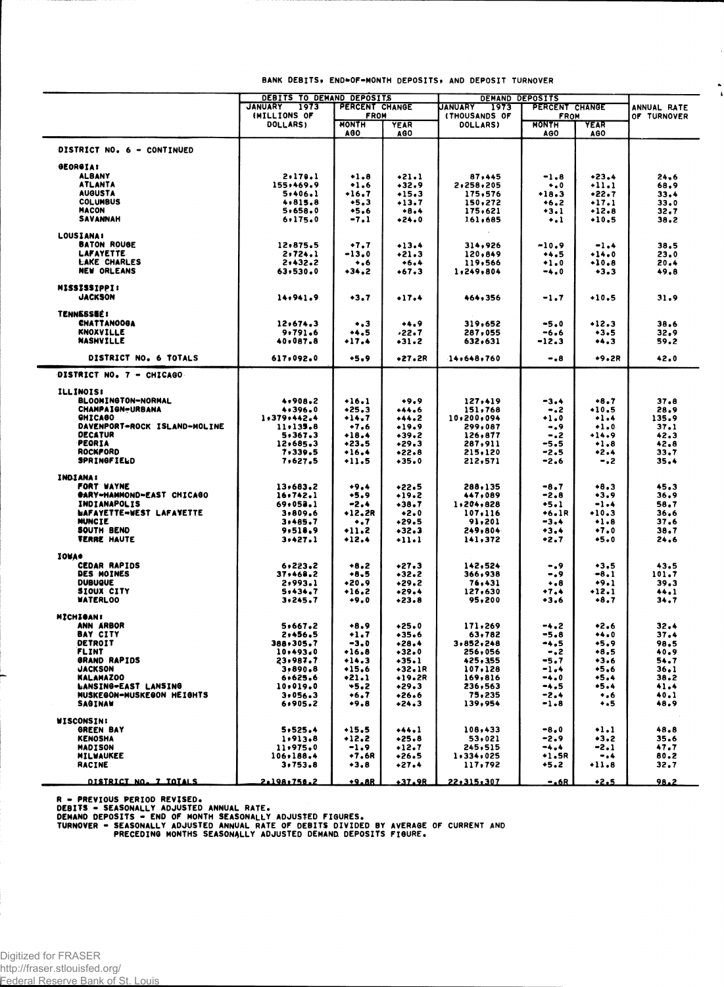|                                                   | DEBITS TO DEMAND DEPOSITS                |                     |                    | DEMAND DEPOSITS    |                     |                        |                            |
|---------------------------------------------------|------------------------------------------|---------------------|--------------------|--------------------|---------------------|------------------------|----------------------------|
|                                                   | 1973<br>PERCENT CHANGE<br><b>JANUARY</b> |                     |                    | 1973<br>JANUARY    |                     | PERCENT CHANGE         |                            |
|                                                   | (MILLIONS OF                             | <b>FROM</b>         |                    | (THOUSANDS OF      | <b>FROM</b>         |                        | ANNUAL RATE<br>OF TURNOVER |
|                                                   | DOLLARS)                                 | <b>HONTH</b><br>AG0 | <b>YEAR</b><br>AGO | DOLLARS)           | <b>MONTH</b><br>AGO | <b>YEAR</b><br>AGO     |                            |
| DISTRICT NO. 6 - CONTINUED                        |                                          |                     |                    |                    |                     |                        |                            |
| <b>GEORGIA:</b>                                   |                                          |                     |                    |                    |                     |                        |                            |
| <b>ALBANY</b>                                     | 2, 170.1                                 | $+1.8$              | $+21.1$            | 87,445             | $-1.8$              | $+23.4$                | 24.6                       |
| ATLANTA                                           | 155,469.9                                | $+1.6$              | $+32.9$            | 2,258,205          | $\bullet$ .0        | $+11.1$                | 68.9                       |
| <b>AUGUSTA</b>                                    | 5,406.1                                  | $+16.7$             | $+15.3$            | 175,576            | $+18.3$             | $+22.7$                | 33.4                       |
| <b>COLUMBUS</b>                                   | 4,815.8                                  | $+5.3$              | $+13.7$            | 150,272            | $+6.2$              | $+17.1$                | 33.0                       |
| <b>MACON</b><br><b>SAVANNAH</b>                   | 5,658.0<br>6.175.0                       | $+5.6$<br>-7.1      | $+8.4$<br>$+24.0$  | 175,621<br>161,685 | $+3.1$<br>۰.۱       | $+12.8$<br>$+10.5$     | 32.7<br>38.2               |
|                                                   |                                          |                     |                    |                    |                     |                        |                            |
| <b>LOUSIANA:</b><br><b>BATON ROUGE</b>            |                                          |                     |                    |                    |                     |                        |                            |
| <b>LAFAYETTE</b>                                  | 12,875.5<br>2,724.1                      | $+7.7$<br>$-13.0$   | $+13.4$<br>$+21.3$ | 314,926<br>120,849 | $-10.9$<br>$+4.5$   | $-1.4$<br>$+14.0$      | 38,5<br>23.0               |
| <b>LAKE CHARLES</b>                               | 2,432.2                                  | ۰.۰                 | $+6.4$             | 119,566            | $+1.0$              | $+10.8$                | 20.4                       |
| <b>NEW ORLEANS</b>                                | 63, 530.0                                | $+34.2$             | $+67.3$            | 1:249,804          | -4.0                | $+3.3$                 | 49.8                       |
| MISSISSIPPI:                                      |                                          |                     |                    |                    |                     |                        |                            |
| <b>JACKSON</b>                                    | 14,941.9                                 | $+3.7$              | $+17.4$            | 464,356            | -1.7                | $+10.5$                | 31.9                       |
| <b>TENNESSEE:</b>                                 |                                          |                     |                    |                    |                     |                        |                            |
| <b>CHATTANOOGA</b>                                | 12,674,3                                 | $\bullet$ .3        | $+4.9$             | 319,652            | $-5.0$              | $+12.3$                | 38.6                       |
| <b>KNOXVILLE</b>                                  | 9,791.6                                  | +4.5                | 22.7ء              | 287,055            | $-6.6$              | $+3.5$                 | 32.9                       |
| <b>NASHVILLE</b>                                  | 40,087.8                                 | +17.4               | $+31.2$            | 632,631            | -12.3               | 3                      | 59.2                       |
| DISTRICT NO. 6 TOTALS                             | 617,092.0                                | $+5.9$              | +27.2R             | 14,648,760         | $-0.8$              | $+9.2R$                | 42.0                       |
| DISTRICT NO. 7 - CHICAGO                          |                                          |                     |                    |                    |                     |                        |                            |
| ILLINOIS!                                         |                                          |                     |                    |                    |                     |                        |                            |
| <b>BLOOMINGTON-NORMAL</b>                         | 4,908.2                                  | $+16.1$             | $+9.9$             | 127,419            | -3.4                | $+8.7$                 | 37.8                       |
| <b>CHAMPAIGN-URBANA</b>                           | 4,396.0                                  | $+25.3$             | $+44.6$            | 151,768            | $-.2$               | $*10.5$                | 28.9                       |
| <b>GHICABO</b>                                    | 1,379,442.4                              | $+14.7$             | $+44.2$            | 10,200,094         | $+1.0$              | $+1.4$                 | 135.9                      |
| DAVENPORT-ROCK ISLAND-MOLINE                      | 11.135.8                                 | $+7.6$              | $+19.9$            | 299,087            | -.9                 | $+1.0$                 | 37.1                       |
| <b>DECATUR</b>                                    | 5,367.3                                  | $+18.4$             | $+39.2$            | 126,877            | $-.2$               | $+14.9$                | 42.3                       |
| <b>PEORIA</b>                                     | 12,685.3                                 | $+23.5$             | $+29.3$            | 287,911            | -5.5                | $+1.8$                 | 42.8                       |
| <b>ROCKFORD</b><br><b>SPRINGFIELD</b>             | 7,339.5<br>7,627.5                       | $+16.4$<br>$+11.5$  | $*22.8$<br>$+35.0$ | 215,120<br>212,571 | -2.5<br>-2.6        | •2.4<br>-.2            | 33.7<br>35.4               |
|                                                   |                                          |                     |                    |                    |                     |                        |                            |
| <b>INDIANA:</b>                                   |                                          |                     |                    |                    |                     |                        |                            |
| FORT WAYNE                                        | 13,683.2                                 | $+9.4$              | •22.5              | 288,135            | -8.7                | $+8.3$                 | 45.3                       |
| <b>GARY-HAMMOND-EAST CHICAGO</b>                  | 16.742.1                                 | +5.9                | $+19.2$            | 447,089            | -2.8                | $+3.9$                 | 36.9                       |
| <b>INDIANAPOLIS</b>                               | 69,053.1                                 | -2.4                | $+38.7$            | 1,204,828          | $+5.1$              | $-1.4$                 | 58.7                       |
| <b>WAFAYETTE-WEST LAFAYETTE</b><br><b>MUNCIE</b>  | 3,809.6                                  | $+12, 2R$           | $+2.0$             | 107,116            | +6.1R               | $+10.3$                | 36.6                       |
| SOUTH BEND                                        | 3,485.7                                  | $\ddotsc$           | $+29.5$            | 91,201             | -3.4                | $+1.8$<br>$+7.0$       | 37.6                       |
| <b>VERRE HAUTE</b>                                | 9,518.9<br>3.427.1                       | •11.2<br>$+12.4$    | $+32.3$<br>+11+1   | 249,804<br>141,372 | +3.4<br>+2.7        | $+5.0$                 | 38.7<br>24.6               |
| <b>IOWA*</b>                                      |                                          |                     |                    |                    |                     |                        |                            |
| <b>CEDAR RAPIDS</b>                               | 6, 223.2                                 | $+8.2$              | +27.3              | 142,524            | -.9                 | $+3.5$                 | 43.5                       |
| DES MOINES                                        | 37,468.2                                 | +8.5                | $+32.2$            | 366,938            | -.9                 | $-8.1$                 | 101.7                      |
| <b>DUBUQUE</b>                                    | 2,993.1                                  | •20.9               | $+29.2$            | 76,431             | $\bullet$ .8        | $+9.1$                 | 39.3                       |
| SIOUX CITY                                        | 5,434.7                                  | +16.2               | +29.4              | 127,630            | $+7.4$              | $+12.1$                | 44.1                       |
| <b>WATERLOO</b>                                   | 3, 245.7                                 | $+9.0$              | $+23.8$            | 95,200             | +3.6                | $+8.7$                 | 34.7                       |
| MICHIGAN I                                        |                                          |                     |                    |                    |                     |                        |                            |
| ANN ARBOR                                         | 5,667.2                                  | $+8.9$              | $+25.0$            | 171,269            | -4.2                | $*2.6$                 | 32.4                       |
| <b>BAY CITY</b>                                   | 2,456.5                                  | $+1.7$              | •35.6              | 63,782             | -5.8                | $+4.0$                 | 37.4                       |
| DETROIT                                           | 388,305.7                                | $-3.0$              | $+28.4$            | 3,852,248          | -4,5                | $+5.9$                 | 98.5                       |
| <b>FLINT</b>                                      | 10,493,0                                 | $+16.8$             | $+32.0$            | 256,056            | -.2                 | +8.5                   | 40.9                       |
| GRAND RAPIDS                                      | 23,987.7                                 | $+14.3$             | $+35.1$            | 425,355            | -5.7                | $+3.6$                 | 54,7                       |
| <b>JACKSON</b>                                    | 3,890.8                                  | $*15.6$             | +32.1R             | 107,128            | $-1.4$              | $+5,6$                 | 36.1                       |
| <b>KALAMAZOO</b>                                  | 6,625.6                                  | $+21.1$             | $+19.2R$           | 169.816            | -4.0                | +5.4                   | 38.2                       |
| LANSING-EAST LANSING<br>MUSKEGON-MUSKEGON HEIGHTS | 10,019.0<br>3.056.3                      | $+5.2$<br>+6.7      | $*29.3$<br>+26.6   | 236,563<br>75,235  | $-4.5$<br>$-2.4$    | $+5.4$<br>$\bullet$ .6 | 41.4<br>40.1               |
| SAGINAW                                           | 6,905.2                                  | 0.€                 | •24.3              | 139,954            | $-1.8$              | ۰.5                    | 48.9                       |
| <b>WISCONSIN:</b>                                 |                                          |                     |                    |                    |                     |                        |                            |
| <b>GREEN BAY</b>                                  | 5.525.4                                  | $+15.5$             | $+44.1$            | 108,433            | $-8.0$              | $+1.1$                 | 48.8                       |
| <b>KENOSHA</b>                                    | 1,913.8                                  | $+12.2$             | $*25.8$            | 53,021             | $-2.9$              | $+3.2$                 | 35.6                       |
| <b>MADISON</b>                                    | 11,975.0                                 | $-1.9$              | +12.7              | 245,515            | -4.4                | $-2.1$                 | 47.7                       |
| MILWAUKEE                                         | 106,188.4                                | $+7.6R$             | +26.5              | 1,334,025          | $+1.5R$             | -.4                    | 80.2                       |
| RACINE                                            | 3,753.8                                  | $+3.8$              | +27.4              | 117,792            | +5.2                | $+11.8$                | 32.7                       |
| DISTRICT NO. 7 TOTALS                             | 2.198.750.2                              | <u>+9.8R</u>        | $+37.9R$           | 22,315,307         | $-.6R$              | $+2.5$                 | 98.2                       |
|                                                   |                                          |                     |                    |                    |                     |                        |                            |

**BANK DEBITS , ENO\*OF-MONT H DEPOSITS , A ND DEPOSIT TURNOVE R**

 $\lambda$ 

 $\ddot{\phantom{1}}$ 

R - PREVIOUS PERIOD REVISED.<br>DEBITS - SEASONALLY ADJUSTED ANNUAL RATE.<br>DEMAND DEPOSITS - END OF MONTH SEASONALLY ADJUSTED FIGURES.<br>TURNOVER - SEASONALLY ADJUSTED ANNUAL RATE OF DEBITS DIVIDED BY AVERAGE OF CURRENT AND<br>PREC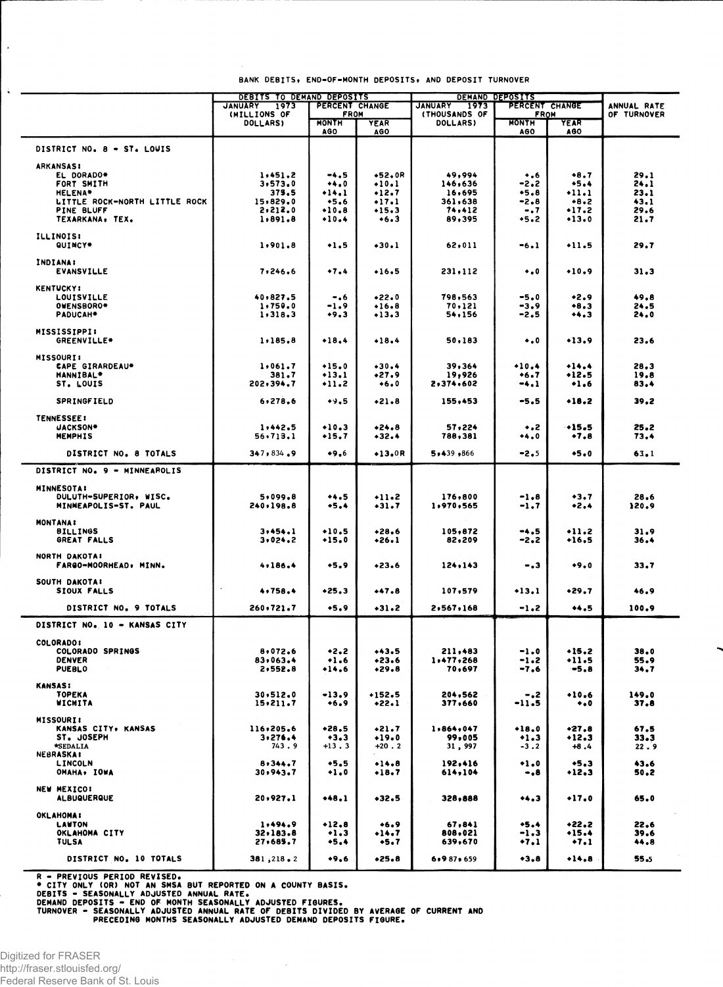|                                                 | <b>DEBITS TO DEMAND DEPOSITS</b> |                               |                    | <b>DEMAND DEPOSITS</b>                  |                               |                            |                            |
|-------------------------------------------------|----------------------------------|-------------------------------|--------------------|-----------------------------------------|-------------------------------|----------------------------|----------------------------|
|                                                 | JANUARY 1973<br>(MILLIONS OF     | PERCENT CHANGE<br><b>FROM</b> |                    | <b>JANUARY</b><br>1973<br>(THOUSANDS OF | PERCENT CHANGE<br><b>FROM</b> |                            | ANNUAL RATE<br>OF TURNOVER |
|                                                 | <b>DOLLARS)</b>                  | <b>MONTH</b>                  | <b>YEAR</b>        | <b>DOLLARS</b>                          | <b>MONTH</b>                  | YEAR                       |                            |
|                                                 |                                  | <b>AGO</b>                    | AGO                |                                         | <b>AGO</b>                    | AG0                        |                            |
|                                                 |                                  |                               |                    |                                         |                               |                            |                            |
| DISTRICT NO. 8 - ST. LOWIS                      |                                  |                               |                    |                                         |                               |                            |                            |
| <b>ARKANSAS:</b>                                |                                  |                               |                    |                                         |                               |                            |                            |
| EL DORADO*                                      | 1,451.2                          | -4.5                          | $+52.0R$           | 49,994                                  | $+0.6$                        | $+8.7$                     | 29.1                       |
| FORT SMITH                                      | 3, 573, 0                        | $+4.0$<br>$+14.1$             | $+10.1$            | 146,636                                 | -2.2<br>$+5.8$                | $+5.4$<br>$-11.1$          | 24.1<br>23.1               |
| <b>HELENA*</b><br>LITTLE ROCK-NORTH LITTLE ROCK | 375.5<br>15,829.0                | $+5.6$                        | $+12.7$<br>$+17.1$ | 16,695<br>361,638                       | $-2.8$                        | $+8.2$                     | 43.1                       |
| PINE BLUFF                                      | 2,212.0                          | $+10.8$                       | $+15.3$            | 74,412                                  | $-0.7$                        | $-17.2$                    | 29.6                       |
| TEXARKANA, TEX.                                 | 1,891.8                          | $+10.4$                       | $+6.3$             | 89,395                                  | $+5.2$                        | $+13.0$                    | 21.7                       |
|                                                 |                                  |                               |                    |                                         |                               |                            |                            |
| <b>ILLINOIS:</b><br>QUINCY*                     | 1,901.8                          | $+1.5$                        | $+30.1$            | 62,011                                  | $-6.1$                        | $+11.5$                    | 29.7                       |
|                                                 |                                  |                               |                    |                                         |                               |                            |                            |
| <b>INDIANA:</b>                                 |                                  |                               |                    |                                         |                               |                            |                            |
| <b>EVANSVILLE</b>                               | 7,246.6                          | $+7.4$                        | $+16.5$            | 231,112                                 | $\bullet$ .0                  | $+10.9$                    | 31.3                       |
| <b>KENTUCKY:</b>                                |                                  |                               |                    |                                         |                               |                            |                            |
| LOUISVILLE                                      | 40,827.5                         | -.6                           | $*22.0$            | 798,563                                 | $-5.0$                        | $*2.9$                     | 49.8                       |
| OWENSBORO*                                      | 1,750.0                          | $-1.9$                        | $+16.8$            | 70,121                                  | -3.9                          | $+8.3$                     | 24.5                       |
| PADUCAH <sup>*</sup>                            | 1, 318.3                         | $+9.3$                        | $+13.3$            | 54,156                                  | $-2.5$                        |                            | 24.0                       |
| MISSISSIPPI:                                    |                                  |                               |                    |                                         |                               |                            |                            |
| GREENVILLE*                                     | 1,185.8                          | $+18.4$                       | $+18.4$            | 50,183                                  | $\ddotsc$                     | $+13.9$                    | 23.6                       |
|                                                 |                                  |                               |                    |                                         |                               |                            |                            |
| <b>MISSOURI:</b><br><b>CAPE GIRARDEAU*</b>      | 1,061.7                          | $+15.0$                       | $+30.4$            | 39,364                                  | $+10.4$                       | $+14.4$                    | 28.3                       |
| <b>HANNIBAL*</b>                                | 381.7                            | $+13,1$                       | $*27.9$            | 19,926                                  | $+6.7$                        | +12.5                      | 19.8                       |
| ST. LOUIS                                       | 202,394.7                        | $*11.2$                       | $+6.0$             | 2,374,602                               | $-4.1$                        | $+1.6$                     | 83.4                       |
|                                                 |                                  |                               |                    |                                         |                               |                            |                            |
| <b>SPRINGFIELD</b>                              | 6, 278, 6                        | $+9.5$                        | $+21.8$            | 155,453                                 | $-5.5$                        | $+18.2$                    | 39.2                       |
| <b>TENNESSEE!</b>                               |                                  |                               |                    |                                         |                               |                            |                            |
| <b>JACKSON*</b>                                 | 1,442.5                          | $+10.3$                       | $+24.8$            | 57,224                                  | $\ddotsc$                     | $+15.5$                    | 25.2                       |
| <b>MEMPHIS</b>                                  | 56,713.1                         | $+15.7$                       | $+32.4$            | 788,381                                 | **.0                          | $+7.8$                     | 73.4                       |
|                                                 | 347,834,9                        | $+9.6$                        | $+13.0R$           | 5.439.866                               | $-2.5$                        | $+5.0$                     | 63.1                       |
| DISTRICT NO. 8 TOTALS                           |                                  |                               |                    |                                         |                               |                            |                            |
| DISTRICT NO. 9 - MINNEAPOLIS                    |                                  |                               |                    |                                         |                               |                            |                            |
| <b>MINNESOTA:</b>                               |                                  |                               |                    |                                         |                               |                            |                            |
| DULUTH-SUPERIOR, WISC.                          | 5,099.8                          | $+4.5$                        | $-11-2$            | 176,800                                 | $-1.8$                        | $+3.7$                     | 28.6                       |
| MINNEAPOLIS-ST. PAUL                            | 240,198.8                        | $+5.4$                        | $-31.7$            | 1,970,565                               | $-1.7$                        | $+2.4$                     | 120.9                      |
|                                                 |                                  |                               |                    |                                         |                               |                            |                            |
| <b>MONTANA:</b><br><b>BILLINGS</b>              | 3,454.1                          | $+10.5$                       | $+28.6$            | 105,872                                 | -4.5                          | $+11.2$                    | 31.9                       |
| GREAT FALLS                                     | 3.024.2                          | $+15.0$                       | $+26.1$            | 82,209                                  | -2.2                          | $+16.5$                    | 36.4                       |
|                                                 |                                  |                               |                    |                                         |                               |                            |                            |
| NORTH DAKOTA:                                   |                                  |                               |                    |                                         |                               |                            |                            |
| FARGO-MOORHEAD, MINN.                           | 4.186.4                          | $+5.9$                        | $+23.6$            | 124,143                                 | -.3                           | $+9.0$                     | 33.7                       |
| SOUTH DAKOTA!                                   |                                  |                               |                    |                                         |                               |                            |                            |
| <b>SIOUX FALLS</b>                              | 4.758.4                          | $+25.3$                       | $+47.8$            | 107,579                                 | $+13,1$                       | $+29.7$                    | 46.9                       |
| DISTRICT NO. 9 TOTALS                           | 260,721.7                        | $+5.9$                        | $+31.2$            | 2,567,168                               | $-1.2$                        | $+4.5$                     | 100.9                      |
|                                                 |                                  |                               |                    |                                         |                               |                            |                            |
| DISTRICT NO. 10 - KANSAS CITY                   |                                  |                               |                    |                                         |                               |                            |                            |
| <b>COLORADO:</b>                                |                                  |                               |                    |                                         |                               |                            |                            |
| COLORADO SPRINGS                                | 8,072.6                          | $+2.2$                        | $+43.5$            | 211,483                                 | $-1.0$                        | $+15.2$                    | 38.0                       |
| <b>DENVER</b>                                   | 83,063.4                         | $+1.6$                        | $+23.6$            | 1,477,268                               | $-1.2$                        | +11.5                      | 55.9                       |
| <b>PUEBLO</b>                                   | 2,552.8                          | $+14.6$                       | $+29.8$            | 70,697                                  | $-7.6$                        | $-5.8$                     | 34.7                       |
| <b>KANSAS:</b>                                  |                                  |                               |                    |                                         |                               |                            |                            |
| TOPEKA                                          | 30, 512, 0                       | $-13.9$                       | $+152.5$           | 204,562                                 | $-.2$                         | $+10.6$                    | 149.0                      |
| WICHITA                                         | 15.211.7                         | $+6.9$                        | $+22.1$            | 377,660                                 | $-11.5$                       | $\bullet\bullet\mathbf{0}$ | 37.8                       |
| <b>MISSOURI:</b>                                |                                  |                               |                    |                                         |                               |                            |                            |
| KANSAS CITY, KANSAS                             | 116,205.6                        | $*28.5$                       | $+21.7$            | 1.864.047                               | $+18.0$                       | $+27.8$                    | 67.5                       |
| ST. JOSEPH                                      | 3,276.4                          | $+3.3$                        | $+19.0$            | 99,005                                  | $+1.3$                        | +12.3                      | 33.3                       |
| *SEDALIA                                        | 743.9                            | $+13.3$                       | $+20.2$            | 31, 997                                 | $-3.2$                        | $+8,4$                     | 22.9                       |
| <b>NEBRASKA:</b><br>LINCOLN                     | 8,344.7                          | $+5.5$                        | $+14.8$            | 192,416                                 | $+1.0$                        | $+5.3$                     |                            |
| OMAHA, IOWA                                     | 30,943.7                         | $+1.0$                        | $+18.7$            | 614,104                                 | -.8                           | $+12.3$                    | 43.6<br>50,2               |
|                                                 |                                  |                               |                    |                                         |                               |                            |                            |
| <b>NEW MEXICO!</b>                              |                                  |                               |                    |                                         |                               |                            |                            |
| <b>ALBUQUERQUE</b>                              | 20,927.1                         | $+48.1$                       | $+32.5$            | 328,888                                 | $+4.3$                        | $+17.0$                    | 65.0                       |
| <b>OKLAHOMA:</b>                                |                                  |                               |                    |                                         |                               |                            |                            |
| LAWTON                                          | 1.494.9                          | $+12.8$                       | $+6.9$             | 67,841                                  | $+5.4$                        | $+22.2$                    | 22.6                       |
| OKLAHOMA CITY                                   | 32.183.8                         | $+1.3$                        | $+14.7$            | 808,021                                 | $-1.3$                        | $+15.4$                    | 39.6                       |
| <b>TULSA</b>                                    | 27,685.7                         | $+5.4$                        | +5.7               | 639,670                                 | +7.1                          | $+7.1$                     | 44.8                       |
| DISTRICT NO. 10 TOTALS                          | 381, 218, 2                      | $+9.6$                        | $*25.8$            | 6.987.659                               | $+3.8$                        | $+14.8$                    | 55.5                       |
|                                                 |                                  |                               |                    |                                         |                               |                            |                            |

BANK DEBITS, END-OF-MONTH DEPOSITS, AND DEPOSIT TURNOVER

R – PREVIOUS PERIOD REVISED.<br>
\* CITY ONLY (OR) NOT AN SMSA BUT REPORTED ON A COUNTY BASIS.<br>
DEBITS – SEASONALLY ADJUSTED ANNUAL RATE.<br>
DEMAND DEPOSITS – END OF MONTH SEASONALLY ADJUSTED FIGURES.<br>
TURNOVER – SEASONALLY ADJU

 $\mathcal{L}$ 

 $\ddot{\bullet}$